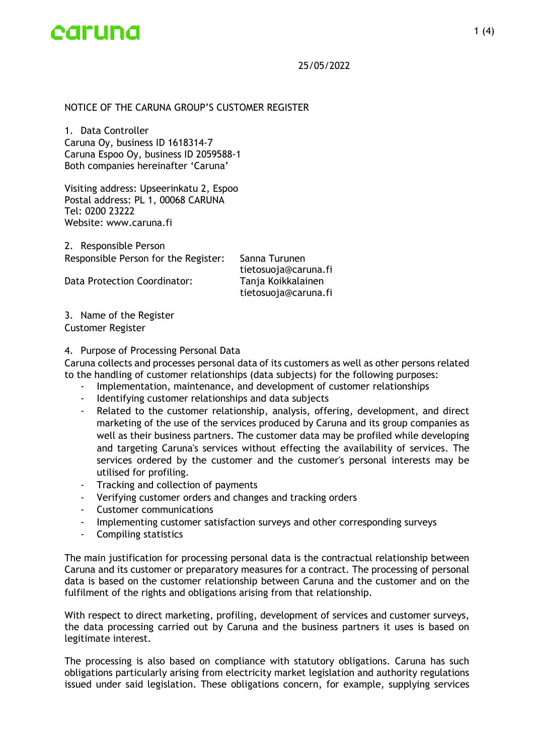

# NOTICE OF THE CARUNA GROUP'S CUSTOMER REGISTER

1. Data Controller Caruna Oy, business ID 1618314-7 Caruna Espoo Oy, business ID 2059588-1 Both companies hereinafter 'Caruna'

Visiting address: Upseerinkatu 2, Espoo Postal address: PL 1, 00068 CARUNA Tel: 0200 23222 Website: www.caruna.fi

2. Responsible Person Responsible Person for the Register: Sanna Turunen

Data Protection Coordinator: Tanja Koikkalainen

tietosuoja@caruna.fi tietosuoja@caruna.fi

3. Name of the Register Customer Register

### 4. Purpose of Processing Personal Data

Caruna collects and processes personal data of its customers as well as other persons related to the handling of customer relationships (data subjects) for the following purposes:

- Implementation, maintenance, and development of customer relationships
- Identifying customer relationships and data subjects
- Related to the customer relationship, analysis, offering, development, and direct marketing of the use of the services produced by Caruna and its group companies as well as their business partners. The customer data may be profiled while developing and targeting Caruna's services without effecting the availability of services. The services ordered by the customer and the customer's personal interests may be utilised for profiling.
- Tracking and collection of payments
- Verifying customer orders and changes and tracking orders
- Customer communications
- Implementing customer satisfaction surveys and other corresponding surveys
- Compiling statistics

The main justification for processing personal data is the contractual relationship between Caruna and its customer or preparatory measures for a contract. The processing of personal data is based on the customer relationship between Caruna and the customer and on the fulfilment of the rights and obligations arising from that relationship.

With respect to direct marketing, profiling, development of services and customer surveys, the data processing carried out by Caruna and the business partners it uses is based on legitimate interest.

The processing is also based on compliance with statutory obligations. Caruna has such obligations particularly arising from electricity market legislation and authority regulations issued under said legislation. These obligations concern, for example, supplying services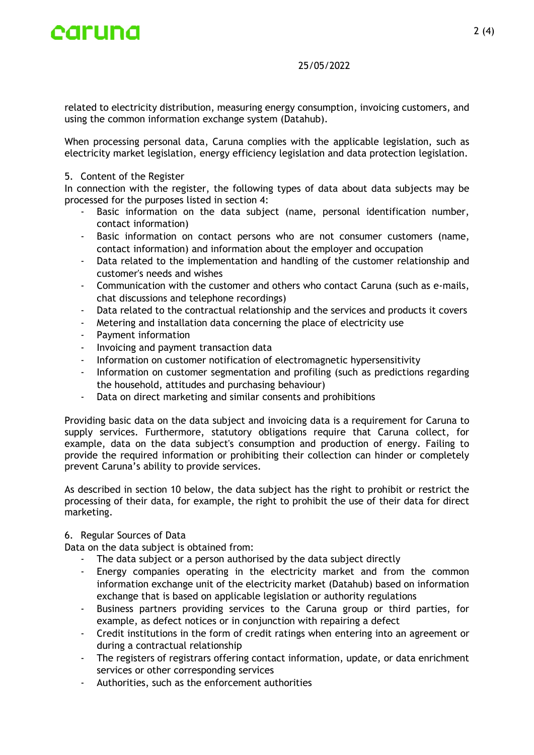

related to electricity distribution, measuring energy consumption, invoicing customers, and using the common information exchange system (Datahub).

When processing personal data, Caruna complies with the applicable legislation, such as electricity market legislation, energy efficiency legislation and data protection legislation.

# 5. Content of the Register

In connection with the register, the following types of data about data subjects may be processed for the purposes listed in section 4:

- Basic information on the data subject (name, personal identification number, contact information)
- Basic information on contact persons who are not consumer customers (name, contact information) and information about the employer and occupation
- Data related to the implementation and handling of the customer relationship and customer's needs and wishes
- Communication with the customer and others who contact Caruna (such as e-mails, chat discussions and telephone recordings)
- Data related to the contractual relationship and the services and products it covers
- Metering and installation data concerning the place of electricity use
- Payment information
- Invoicing and payment transaction data
- Information on customer notification of electromagnetic hypersensitivity
- Information on customer segmentation and profiling (such as predictions regarding the household, attitudes and purchasing behaviour)
- Data on direct marketing and similar consents and prohibitions

Providing basic data on the data subject and invoicing data is a requirement for Caruna to supply services. Furthermore, statutory obligations require that Caruna collect, for example, data on the data subject's consumption and production of energy. Failing to provide the required information or prohibiting their collection can hinder or completely prevent Caruna's ability to provide services.

As described in section 10 below, the data subject has the right to prohibit or restrict the processing of their data, for example, the right to prohibit the use of their data for direct marketing.

# 6. Regular Sources of Data

Data on the data subject is obtained from:

- The data subject or a person authorised by the data subject directly
- Energy companies operating in the electricity market and from the common information exchange unit of the electricity market (Datahub) based on information exchange that is based on applicable legislation or authority regulations
- Business partners providing services to the Caruna group or third parties, for example, as defect notices or in conjunction with repairing a defect
- Credit institutions in the form of credit ratings when entering into an agreement or during a contractual relationship
- The registers of registrars offering contact information, update, or data enrichment services or other corresponding services
- Authorities, such as the enforcement authorities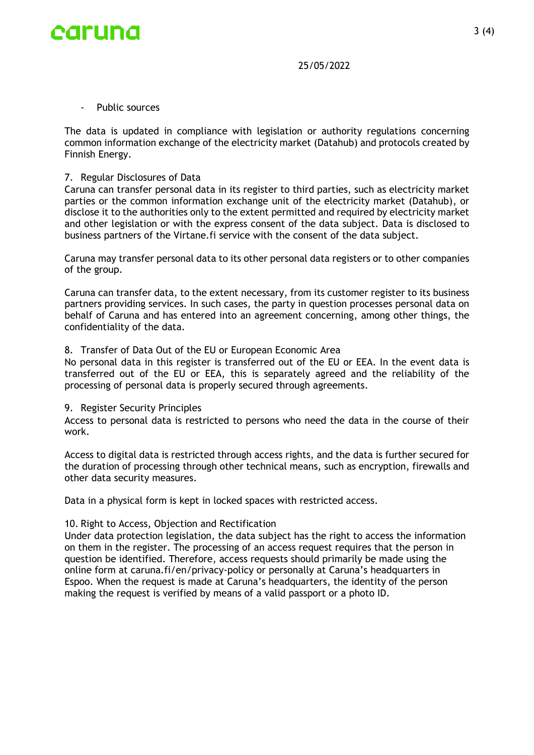

- Public sources

The data is updated in compliance with legislation or authority regulations concerning common information exchange of the electricity market (Datahub) and protocols created by Finnish Energy.

## 7. Regular Disclosures of Data

Caruna can transfer personal data in its register to third parties, such as electricity market parties or the common information exchange unit of the electricity market (Datahub), or disclose it to the authorities only to the extent permitted and required by electricity market and other legislation or with the express consent of the data subject. Data is disclosed to business partners of the Virtane.fi service with the consent of the data subject.

Caruna may transfer personal data to its other personal data registers or to other companies of the group.

Caruna can transfer data, to the extent necessary, from its customer register to its business partners providing services. In such cases, the party in question processes personal data on behalf of Caruna and has entered into an agreement concerning, among other things, the confidentiality of the data.

## 8. Transfer of Data Out of the EU or European Economic Area

No personal data in this register is transferred out of the EU or EEA. In the event data is transferred out of the EU or EEA, this is separately agreed and the reliability of the processing of personal data is properly secured through agreements.

### 9. Register Security Principles

Access to personal data is restricted to persons who need the data in the course of their work.

Access to digital data is restricted through access rights, and the data is further secured for the duration of processing through other technical means, such as encryption, firewalls and other data security measures.

Data in a physical form is kept in locked spaces with restricted access.

# 10. Right to Access, Objection and Rectification

Under data protection legislation, the data subject has the right to access the information on them in the register. The processing of an access request requires that the person in question be identified. Therefore, access requests should primarily be made using the online form at caruna.fi/en/privacy-policy or personally at Caruna's headquarters in Espoo. When the request is made at Caruna's headquarters, the identity of the person making the request is verified by means of a valid passport or a photo ID.